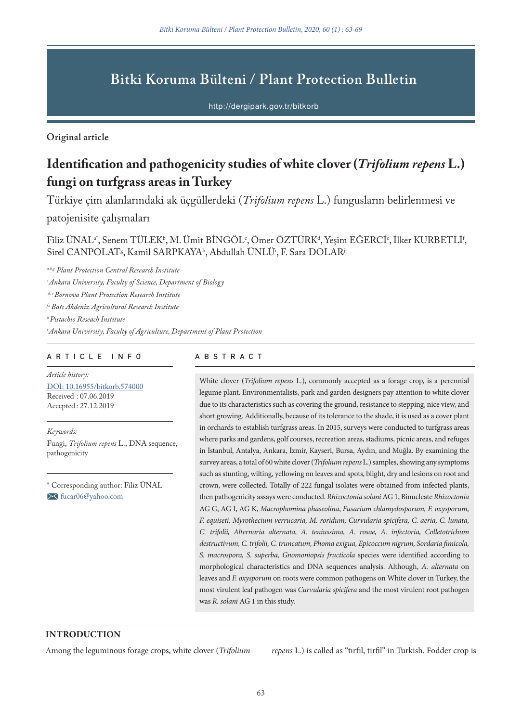# **Bitki Koruma Bülteni / Plant Protection Bulletin**

http://dergipark.gov.tr/bitkorb

**Original article**

# **Identification and pathogenicity studies of white clover (***Trifolium repens* **L.) fungi on turfgrass areas in Turkey**

Türkiye çim alanlarındaki ak üçgüllerdeki (*Trifolium repens* L.) fungusların belirlenmesi ve

patojenisite çalışmaları

Filiz UNAL<sup>a\*</sup>, Senem TULEK<sup>b</sup>, M. Umit BINGOL<sup>c</sup>, Omer OZTURK<sup>a</sup>, Yeşim EGERCI<sup>e</sup>, Ilker KURBETLI<sup>1</sup>, Sirel CANPOLAT<sup>g</sup>, Kamil SARPKAYA<sup>h</sup>, Abdullah UNLU<sup>i</sup>, F. Sara DOLAR<sup>j</sup>

*a,b,g Plant Protection Central Research Institute*

*c Ankara University, Faculty of Science, Department of Biology*

 *d, e Bornova Plant Protection Research Institute*

*f,i Batı Akdeniz Agricultural Research Institute*

*h Pistachio Reseach Institute*

*j Ankara University, Faculty of Agriculture, Department of Plant Protection*

### ARTICLE INFO ABSTRACT

*Article history:* DOI: 10.16955/bitkorb.574000 Received : 07.06.2019 Accepted : 27.12.2019

*Keywords:*

Fungi, *Trifolium repens* L., DNA sequence, pathogenicity

\* Corresponding author: Filiz ÜNAL fucar06@yahoo.com

White clover (*Trifolium repens* L*.*), commonly accepted as a forage crop, is a perennial legume plant. Environmentalists, park and garden designers pay attention to white clover due to its characteristics such as covering the ground, resistance to stepping, nice view, and short growing. Additionally, because of its tolerance to the shade, it is used as a cover plant in orchards to establish turfgrass areas. In 2015, surveys were conducted to turfgrass areas where parks and gardens, golf courses, recreation areas, stadiums, picnic areas, and refuges in İstanbul, Antalya, Ankara, İzmir, Kayseri, Bursa, Aydın, and Muğla. By examining the survey areas, a total of 60 white clover (*Trifolium repens* L.) samples, showing any symptoms such as stunting, wilting, yellowing on leaves and spots, blight, dry and lesions on root and crown, were collected. Totally of 222 fungal isolates were obtained from infected plants, then pathogenicity assays were conducted. *Rhizoctonia solani* AG 1, Binucleate *Rhizoctonia* AG G, AG I, AG K, *Macrophomina phaseolina*, *Fusarium chlamydosporum, F. oxysporum, F. equiseti, Myrothecium verrucaria, M. roridum, Curvularia spicifera, C. aeria, C. lunata, C. trifolii, Alternaria alternata, A. teniussima, A. rosae, A. infectoria, Colletotrichum destructivum, C. trifolii, C. truncatum, Phoma exigua, Epicoccum nigrum, Sordaria fimicola, S. macrospora, S. superba, Gnomoniopsis fructicola* species were identified according to morphological characteristics and DNA sequences analysis. Although, *A. alternata* on leaves and *F. oxysporum* on roots were common pathogens on White clover in Turkey, the most virulent leaf pathogen was *Curvularia spicifera* and the most virulent root pathogen was *R. solani* AG 1 in this study.

# **INTRODUCTION**

Among the leguminous forage crops, white clover (*Trifolium repens* L.) is called as "tırfıl, tirfil" in Turkish. Fodder crop is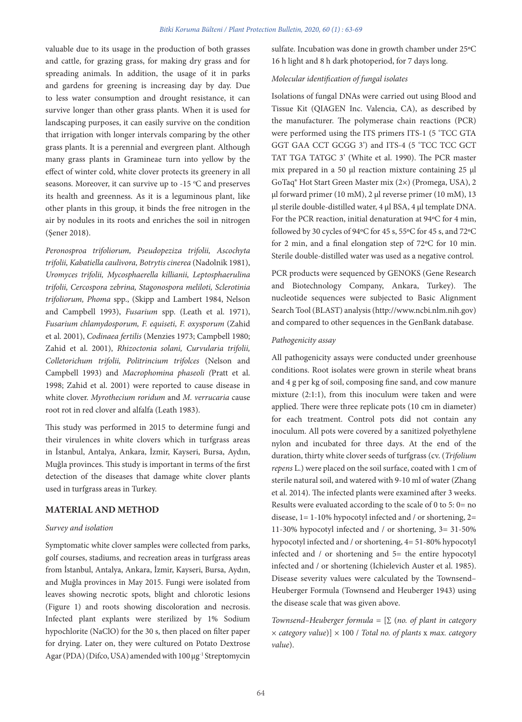valuable due to its usage in the production of both grasses and cattle, for grazing grass, for making dry grass and for spreading animals. In addition, the usage of it in parks and gardens for greening is increasing day by day. Due to less water consumption and drought resistance, it can survive longer than other grass plants. When it is used for landscaping purposes, it can easily survive on the condition that irrigation with longer intervals comparing by the other grass plants. It is a perennial and evergreen plant. Although many grass plants in Gramineae turn into yellow by the effect of winter cold, white clover protects its greenery in all seasons. Moreover, it can survive up to -15 °C and preserves its health and greenness. As it is a leguminous plant, like other plants in this group, it binds the free nitrogen in the air by nodules in its roots and enriches the soil in nitrogen (Şener 2018).

*Peronosproa trifoliorum, Pseudopeziza trifolii, Ascochyta trifolii, Kabatiella caulivora, Botrytis cinerea* (Nadolnik 1981), *Uromyces trifolii, Mycosphaerella killianii, Leptosphaerulina trifolii, Cercospora zebrina, Stagonospora meliloti, Sclerotinia trifoliorum, Phoma* spp., (Skipp and Lambert 1984, Nelson and Campbell 1993), *Fusarium* spp. (Leath et al. 1971), *Fusarium chlamydosporum, F. equiseti, F. oxysporum* (Zahid et al. 2001), *Codinaea fertilis* (Menzies 1973; Campbell 1980; Zahid et al. 2001), *Rhizoctonia solani, Curvularia trifolii, Colletorichum trifolii, Politrincium trifolces* (Nelson and Campbell 1993) and *Macrophomina phaseoli (*Pratt et al. 1998; Zahid et al. 2001) were reported to cause disease in white clover. *Myrothecium roridum* and *M. verrucaria* cause root rot in red clover and alfalfa (Leath 1983).

This study was performed in 2015 to determine fungi and their virulences in white clovers which in turfgrass areas in İstanbul, Antalya, Ankara, İzmir, Kayseri, Bursa, Aydın, Muğla provinces. This study is important in terms of the first detection of the diseases that damage white clover plants used in turfgrass areas in Turkey.

#### **MATERIAL AND METHOD**

#### *Survey and isolation*

Symptomatic white clover samples were collected from parks, golf courses, stadiums, and recreation areas in turfgrass areas from İstanbul, Antalya, Ankara, İzmir, Kayseri, Bursa, Aydın, and Muğla provinces in May 2015. Fungi were isolated from leaves showing necrotic spots, blight and chlorotic lesions (Figure 1) and roots showing discoloration and necrosis. Infected plant explants were sterilized by 1% Sodium hypochlorite (NaClO) for the 30 s, then placed on filter paper for drying. Later on, they were cultured on Potato Dextrose Agar (PDA) (Difco, USA) amended with 100 μg-1 Streptomycin

sulfate. Incubation was done in growth chamber under 25ºC 16 h light and 8 h dark photoperiod, for 7 days long.

#### *Molecular identification of fungal isolates*

Isolations of fungal DNAs were carried out using Blood and Tissue Kit (QIAGEN Inc. Valencia, CA), as described by the manufacturer. The polymerase chain reactions (PCR) were performed using the ITS primers ITS-1 (5 'TCC GTA GGT GAA CCT GCGG 3') and ITS-4 (5 'TCC TCC GCT TAT TGA TATGC 3' (White et al. 1990). The PCR master mix prepared in a 50 µl reaction mixture containing 25 µl GoTaq® Hot Start Green Master mix (2×) (Promega, USA), 2 µl forward primer (10 mM), 2 µl reverse primer (10 mM), 13 µl sterile double-distilled water, 4 µl BSA, 4 µl template DNA. For the PCR reaction, initial denaturation at 94ºC for 4 min, followed by 30 cycles of 94ºC for 45 s, 55ºC for 45 s, and 72ºC for 2 min, and a final elongation step of 72ºC for 10 min. Sterile double-distilled water was used as a negative control.

PCR products were sequenced by GENOKS (Gene Research and Biotechnology Company, Ankara, Turkey). The nucleotide sequences were subjected to Basic Alignment Search Tool (BLAST) analysis (http://www.ncbi.nlm.nih.gov) and compared to other sequences in the GenBank database.

#### *Pathogenicity assay*

All pathogenicity assays were conducted under greenhouse conditions. Root isolates were grown in sterile wheat brans and 4 g per kg of soil, composing fine sand, and cow manure mixture (2:1:1), from this inoculum were taken and were applied. There were three replicate pots (10 cm in diameter) for each treatment. Control pots did not contain any inoculum. All pots were covered by a sanitized polyethylene nylon and incubated for three days. At the end of the duration, thirty white clover seeds of turfgrass (cv. (*Trifolium repens* L.) were placed on the soil surface, coated with 1 cm of sterile natural soil, and watered with 9-10 ml of water (Zhang et al. 2014). The infected plants were examined after 3 weeks. Results were evaluated according to the scale of 0 to 5: 0= no disease,  $1 = 1-10\%$  hypocotyl infected and / or shortening,  $2=$ 11-30% hypocotyl infected and / or shortening, 3= 31-50% hypocotyl infected and / or shortening, 4= 51-80% hypocotyl infected and / or shortening and 5= the entire hypocotyl infected and / or shortening (Ichielevich Auster et al. 1985). Disease severity values were calculated by the Townsend– Heuberger Formula (Townsend and Heuberger 1943) using the disease scale that was given above.

*Townsend–Heuberger formula* = [∑ (*no. of plant in category* × *category value*)] × 100 / *Total no. of plants* x *max. category value*).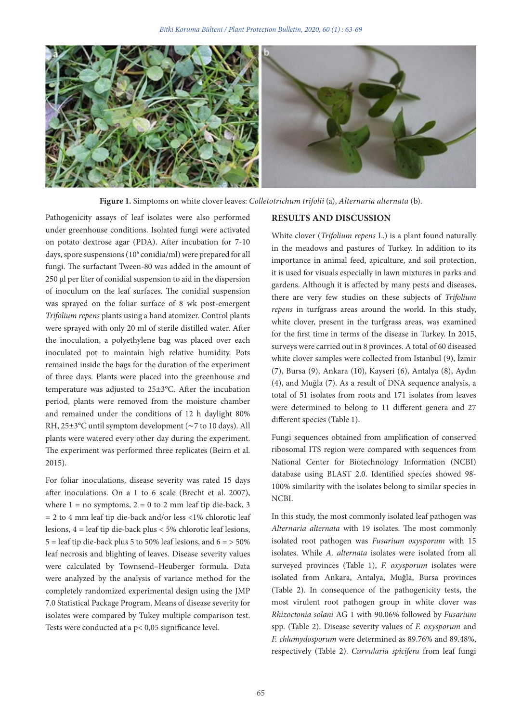

**Figure 1.** Simptoms on white clover leaves: *Colletotrichum trifolii* (a), *Alternaria alternata* (b).

Pathogenicity assays of leaf isolates were also performed under greenhouse conditions. Isolated fungi were activated on potato dextrose agar (PDA). After incubation for 7-10 days, spore suspensions (10<sup>6</sup> conidia/ml) were prepared for all fungi. The surfactant Tween-80 was added in the amount of 250 μl per liter of conidial suspension to aid in the dispersion of inoculum on the leaf surfaces. The conidial suspension was sprayed on the foliar surface of 8 wk post-emergent *Trifolium repens* plants using a hand atomizer. Control plants were sprayed with only 20 ml of sterile distilled water. After the inoculation, a polyethylene bag was placed over each inoculated pot to maintain high relative humidity. Pots remained inside the bags for the duration of the experiment of three days. Plants were placed into the greenhouse and temperature was adjusted to 25±3°C. After the incubation period, plants were removed from the moisture chamber and remained under the conditions of 12 h daylight 80% RH, 25±3°C until symptom development (∼7 to 10 days). All plants were watered every other day during the experiment. The experiment was performed three replicates (Beirn et al. 2015).

For foliar inoculations, disease severity was rated 15 days after inoculations. On a 1 to 6 scale (Brecht et al. 2007), where  $1 = no$  symptoms,  $2 = 0$  to 2 mm leaf tip die-back, 3  $= 2$  to 4 mm leaf tip die-back and/or less <1% chlorotic leaf lesions, 4 = leaf tip die-back plus < 5% chlorotic leaf lesions,  $5 =$  leaf tip die-back plus 5 to 50% leaf lesions, and  $6 =$  > 50% leaf necrosis and blighting of leaves. Disease severity values were calculated by Townsend–Heuberger formula. Data were analyzed by the analysis of variance method for the completely randomized experimental design using the JMP 7.0 Statistical Package Program. Means of disease severity for isolates were compared by Tukey multiple comparison test. Tests were conducted at a p< 0,05 significance level.

### **RESULTS AND DISCUSSION**

White clover (*Trifolium repens* L.) is a plant found naturally in the meadows and pastures of Turkey. In addition to its importance in animal feed, apiculture, and soil protection, it is used for visuals especially in lawn mixtures in parks and gardens. Although it is affected by many pests and diseases, there are very few studies on these subjects of *Trifolium repens* in turfgrass areas around the world. In this study, white clover, present in the turfgrass areas, was examined for the first time in terms of the disease in Turkey. In 2015, surveys were carried out in 8 provinces. A total of 60 diseased white clover samples were collected from Istanbul (9), İzmir (7), Bursa (9), Ankara (10), Kayseri (6), Antalya (8), Aydın (4), and Muğla (7). As a result of DNA sequence analysis, a total of 51 isolates from roots and 171 isolates from leaves were determined to belong to 11 different genera and 27 different species (Table 1).

Fungi sequences obtained from amplification of conserved ribosomal ITS region were compared with sequences from National Center for Biotechnology Information (NCBI) database using BLAST 2.0. Identified species showed 98- 100% similarity with the isolates belong to similar species in NCBI.

In this study, the most commonly isolated leaf pathogen was *Alternaria alternata* with 19 isolates. The most commonly isolated root pathogen was *Fusarium oxysporum* with 15 isolates. While *A. alternata* isolates were isolated from all surveyed provinces (Table 1), *F. oxysporum* isolates were isolated from Ankara, Antalya, Muğla, Bursa provinces (Table 2). In consequence of the pathogenicity tests, the most virulent root pathogen group in white clover was *Rhizoctonia solani* AG 1 with 90.06% followed by *Fusarium* spp. (Table 2). Disease severity values of *F. oxysporum* and *F. chlamydosporum* were determined as 89.76% and 89.48%, respectively (Table 2). *Curvularia spicifera* from leaf fungi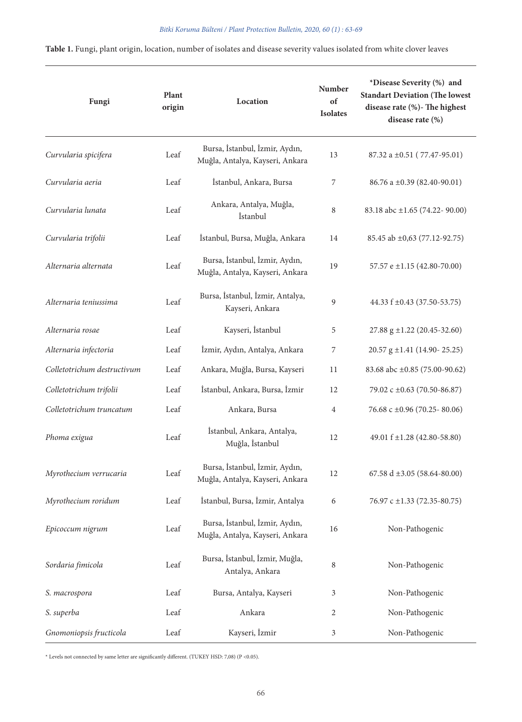|  |  |  |  |  |  | <b>Table 1.</b> Fungi, plant origin, location, number of isolates and disease severity values isolated from white clover leaves |  |  |  |  |  |
|--|--|--|--|--|--|---------------------------------------------------------------------------------------------------------------------------------|--|--|--|--|--|
|--|--|--|--|--|--|---------------------------------------------------------------------------------------------------------------------------------|--|--|--|--|--|

| Fungi                       | Plant<br>origin | Location                                                          | <b>Number</b><br>of<br><b>Isolates</b> | *Disease Severity (%) and<br><b>Standart Deviation (The lowest</b><br>disease rate (%)- The highest<br>disease rate (%) |  |  |
|-----------------------------|-----------------|-------------------------------------------------------------------|----------------------------------------|-------------------------------------------------------------------------------------------------------------------------|--|--|
| Curvularia spicifera        | Leaf            | Bursa, İstanbul, İzmir, Aydın,<br>Muğla, Antalya, Kayseri, Ankara | 13                                     | $87.32$ a $\pm 0.51$ (77.47-95.01)                                                                                      |  |  |
| Curvularia aeria            | Leaf            | İstanbul, Ankara, Bursa                                           | 7                                      | 86.76 a ±0.39 (82.40-90.01)                                                                                             |  |  |
| Curvularia lunata           | Leaf            | Ankara, Antalya, Muğla,<br>İstanbul                               | 8                                      | 83.18 abc ±1.65 (74.22- 90.00)                                                                                          |  |  |
| Curvularia trifolii         | Leaf            | İstanbul, Bursa, Muğla, Ankara                                    | 14                                     | 85.45 ab ±0,63 (77.12-92.75)                                                                                            |  |  |
| Alternaria alternata        | Leaf            | Bursa, İstanbul, İzmir, Aydın,<br>Muğla, Antalya, Kayseri, Ankara | 19                                     | 57.57 e ±1.15 (42.80-70.00)                                                                                             |  |  |
| Alternaria teniussima       | Leaf            | Bursa, İstanbul, İzmir, Antalya,<br>Kayseri, Ankara               | 9                                      | 44.33 f ±0.43 (37.50-53.75)                                                                                             |  |  |
| Alternaria rosae            | Leaf            | Kayseri, İstanbul                                                 | 5                                      | 27.88 g ±1.22 (20.45-32.60)                                                                                             |  |  |
| Alternaria infectoria       | Leaf            | İzmir, Aydın, Antalya, Ankara                                     | 7                                      | 20.57 g ±1.41 (14.90-25.25)                                                                                             |  |  |
| Colletotrichum destructivum | Leaf            | Ankara, Muğla, Bursa, Kayseri                                     | 11                                     | 83.68 abc ±0.85 (75.00-90.62)                                                                                           |  |  |
| Colletotrichum trifolii     | Leaf            | İstanbul, Ankara, Bursa, İzmir                                    | 12                                     | 79.02 c ±0.63 (70.50-86.87)                                                                                             |  |  |
| Colletotrichum truncatum    | Leaf            | Ankara, Bursa                                                     | $\overline{4}$                         | 76.68 c $\pm 0.96$ (70.25-80.06)                                                                                        |  |  |
| Phoma exigua                | Leaf            | İstanbul, Ankara, Antalya,<br>Muğla, İstanbul                     | 12                                     | 49.01 f ±1.28 (42.80-58.80)                                                                                             |  |  |
| Myrothecium verrucaria      | Leaf            | Bursa, İstanbul, İzmir, Aydın,<br>Muğla, Antalya, Kayseri, Ankara | 12                                     | 67.58 d $\pm 3.05$ (58.64-80.00)                                                                                        |  |  |
| Myrothecium roridum         | Leaf            | İstanbul, Bursa, İzmir, Antalya                                   | 6                                      | 76.97 c ±1.33 (72.35-80.75)                                                                                             |  |  |
| Epicoccum nigrum            | Leaf            | Bursa, İstanbul, İzmir, Aydın,<br>Muğla, Antalya, Kayseri, Ankara | 16                                     | Non-Pathogenic                                                                                                          |  |  |
| Sordaria fimicola           | Leaf            | Bursa, İstanbul, İzmir, Muğla,<br>Antalya, Ankara                 | 8                                      | Non-Pathogenic                                                                                                          |  |  |
| S. macrospora               | Leaf            | Bursa, Antalya, Kayseri                                           | 3                                      | Non-Pathogenic                                                                                                          |  |  |
| S. superba                  | Leaf            | Ankara                                                            | 2                                      | Non-Pathogenic                                                                                                          |  |  |
| Gnomoniopsis fructicola     | Leaf            | Kayseri, İzmir                                                    | 3                                      | Non-Pathogenic                                                                                                          |  |  |

 $^\ast$  Levels not connected by same letter are significantly different. (TUKEY HSD: 7,08) (P <0.05).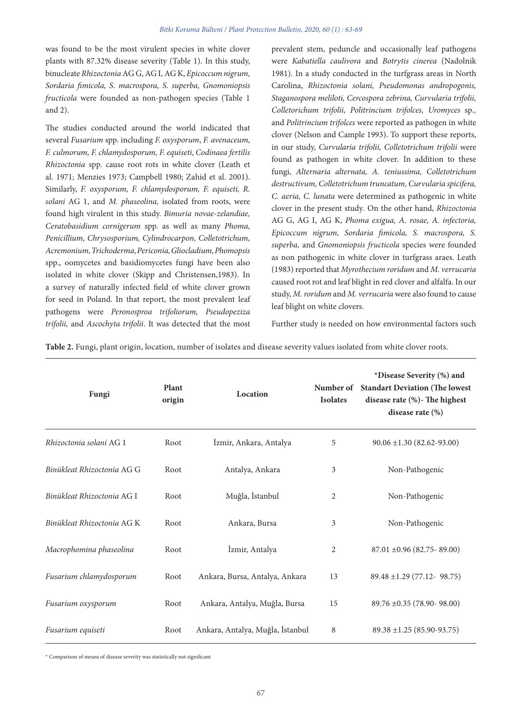was found to be the most virulent species in white clover plants with 87.32% disease severity (Table 1). In this study, binucleate *Rhizoctonia* AG G, AG I, AG K, *Epicoccum nigrum, Sordaria fimicola, S. macrospora, S. superba, Gnomoniopsis fructicola* were founded as non-pathogen species (Table 1 and 2).

The studies conducted around the world indicated that several *Fusarium* spp. including *F. oxysporum*, *F. avenaceum*, *F. culmorum, F. chlamydosporum, F. equiseti*, *Codinaea fertilis Rhizoctonia* spp. cause root rots in white clover (Leath et al. 1971; Menzies 1973; Campbell 1980; Zahid et al. 2001). Similarly, *F. oxysporum, F. chlamydosporum, F. equiseti, R. solani* AG 1, and *M. phaseolina,* isolated from roots, were found high virulent in this study. *Bimuria novae-zelandiae, Ceratobasidium cornigerum* spp. as well as many *Phoma, Penicillium, Chrysosporium, Cylindrocarpon, Colletotrichum, Acremonium, Trichoderma, Periconia, Gliocladium, Phomopsis*  spp., oomycetes and basidiomycetes fungi have been also isolated in white clover (Skipp and Christensen,1983). In a survey of naturally infected field of white clover grown for seed in Poland. In that report, the most prevalent leaf pathogens were *Peronosproa trifoliorum, Pseudopeziza trifolii,* and *Ascochyta trifolii*. It was detected that the most

prevalent stem, peduncle and occasionally leaf pathogens were *Kabatiella caulivora* and *Botrytis cinerea* (Nadolnik 1981). In a study conducted in the turfgrass areas in North Carolina, *Rhizoctonia solani, Pseudomonas andropogonis, Staganospora meliloti, Cercospora zebrina, Curvularia trifolii, Colletorichum trifolii, Politrincium trifolces, Uromyces* sp*.,*  and *Politrincium trifolces* were reported as pathogen in white clover (Nelson and Cample 1993). To support these reports, in our study, *Curvularia trifolii, Colletotrichum trifolii* were found as pathogen in white clover*.* In addition to these fungi, *Alternaria alternata, A. teniussima, Colletotrichum destructivum, Colletotrichum truncatum, Curvularia spicifera, C. aeria, C. lunata* were determined as pathogenic in white clover in the present study*.* On the other hand, *Rhizoctonia*  AG G, AG I, AG K, *Phoma exigua, A. rosae, A. infectoria, Epicoccum nigrum, Sordaria fimicola, S. macrospora, S. superba,* and *Gnomoniopsis fructicola* species were founded as non pathogenic in white clover in turfgrass araes. Leath (1983) reported that *Myrothecium roridum* and *M. verrucaria* caused root rot and leaf blight in red clover and alfalfa. In our study, *M. roridum* and *M. verrucaria* were also found to cause leaf blight on white clovers.

Further study is needed on how environmental factors such

**Table 2.** Fungi, plant origin, location, number of isolates and disease severity values isolated from white clover roots.

| Fungi                      | Plant<br>origin | Location                         | Number of<br><b>Isolates</b> | *Disease Severity (%) and<br><b>Standart Deviation (The lowest</b><br>disease rate (%) - The highest<br>disease rate $(\%)$ |
|----------------------------|-----------------|----------------------------------|------------------------------|-----------------------------------------------------------------------------------------------------------------------------|
| Rhizoctonia solani AG 1    | Root            | İzmir, Ankara, Antalya           | 5                            | $90.06 \pm 1.30 (82.62 - 93.00)$                                                                                            |
| Binükleat Rhizoctonia AG G | Root            | Antalya, Ankara                  | 3                            | Non-Pathogenic                                                                                                              |
| Binükleat Rhizoctonia AG I | Root            | Muğla, İstanbul                  | 2                            | Non-Pathogenic                                                                                                              |
| Binükleat Rhizoctonia AG K | Root            | Ankara, Bursa                    | 3                            | Non-Pathogenic                                                                                                              |
| Macrophomina phaseolina    | Root            | İzmir, Antalya                   | 2                            | $87.01 \pm 0.96 (82.75 - 89.00)$                                                                                            |
| Fusarium chlamydosporum    | Root            | Ankara, Bursa, Antalya, Ankara   | 13                           | $89.48 \pm 1.29$ (77.12- 98.75)                                                                                             |
| Fusarium oxysporum         | Root            | Ankara, Antalya, Muğla, Bursa    | 15                           | $89.76 \pm 0.35$ (78.90-98.00)                                                                                              |
| Fusarium equiseti          | Root            | Ankara, Antalya, Muğla, İstanbul | 8                            | $89.38 \pm 1.25 (85.90 - 93.75)$                                                                                            |

\* Comparison of means of disease severity was statistically not significant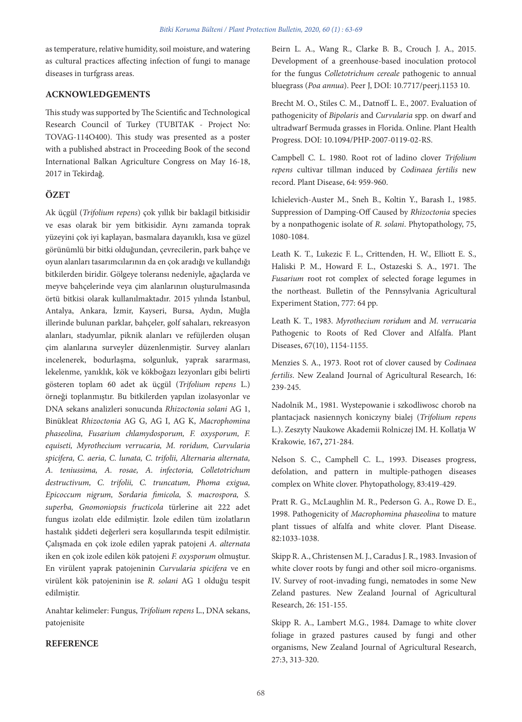as temperature, relative humidity, soil moisture, and watering as cultural practices affecting infection of fungi to manage diseases in turfgrass areas.

# **ACKNOWLEDGEMENTS**

This study was supported by The Scientific and Technological Research Council of Turkey (TUBITAK - Project No: TOVAG-114O400). This study was presented as a poster with a published abstract in Proceeding Book of the second International Balkan Agriculture Congress on May 16-18, 2017 in Tekirdağ.

# **ÖZET**

Ak üçgül (*Trifolium repens*) çok yıllık bir baklagil bitkisidir ve esas olarak bir yem bitkisidir. Aynı zamanda toprak yüzeyini çok iyi kaplayan, basmalara dayanıklı, kısa ve güzel görünümlü bir bitki olduğundan, çevrecilerin, park bahçe ve oyun alanları tasarımcılarının da en çok aradığı ve kullandığı bitkilerden biridir. Gölgeye toleransı nedeniyle, ağaçlarda ve meyve bahçelerinde veya çim alanlarının oluşturulmasında örtü bitkisi olarak kullanılmaktadır. 2015 yılında İstanbul, Antalya, Ankara, İzmir, Kayseri, Bursa, Aydın, Muğla illerinde bulunan parklar, bahçeler, golf sahaları, rekreasyon alanları, stadyumlar, piknik alanları ve refüjlerden oluşan çim alanlarına surveyler düzenlenmiştir. Survey alanları incelenerek, bodurlaşma, solgunluk, yaprak sararması, lekelenme, yanıklık, kök ve kökboğazı lezyonları gibi belirti gösteren toplam 60 adet ak üçgül (*Trifolium repens* L.) örneği toplanmıştır. Bu bitkilerden yapılan izolasyonlar ve DNA sekans analizleri sonucunda *Rhizoctonia solani* AG 1, Binükleat *Rhizoctonia* AG G, AG I, AG K, *Macrophomina phaseolina, Fusarium chlamydosporum, F. oxysporum, F. equiseti, Myrothecium verrucaria, M. roridum, Curvularia spicifera, C. aeria, C. lunata, C. trifolii, Alternaria alternata, A. teniussima, A. rosae, A. infectoria, Colletotrichum destructivum, C. trifolii, C. truncatum, Phoma exigua, Epicoccum nigrum, Sordaria fimicola, S. macrospora, S. superba, Gnomoniopsis fructicola* türlerine ait 222 adet fungus izolatı elde edilmiştir. İzole edilen tüm izolatların hastalık şiddeti değerleri sera koşullarında tespit edilmiştir. Çalışmada en çok izole edilen yaprak patojeni *A. alternata* iken en çok izole edilen kök patojeni *F. oxysporum* olmuştur. En virülent yaprak patojeninin *Curvularia spicifera* ve en virülent kök patojeninin ise *R. solani* AG 1 olduğu tespit edilmiştir.

Anahtar kelimeler: Fungus, *Trifolium repens* L., DNA sekans, patojenisite

## **REFERENCE**

Beirn L. A., Wang R., Clarke B. B., Crouch J. A., 2015. Development of a greenhouse-based inoculation protocol for the fungus *Colletotrichum cereale* pathogenic to annual bluegrass (*Poa annua*). Peer J, DOI: 10.7717/peerj.1153 10.

Brecht M. O., Stiles C. M., Datnoff L. E., 2007. Evaluation of pathogenicity of *Bipolaris* and *Curvularia* spp. on dwarf and ultradwarf Bermuda grasses in Florida. Online. Plant Health Progress. DOI: 10.1094/PHP-2007-0119-02-RS.

Campbell C. L. 1980. Root rot of ladino clover *Trifolium repens* cultivar tillman induced by *Codinaea fertilis* new record. Plant Disease, 64: 959-960.

Ichielevich-Auster M., Sneh B., Koltin Y., Barash I., 1985. Suppression of Damping-Off Caused by *Rhizoctonia* species by a nonpathogenic isolate of *R. solani*. Phytopathology, 75, 1080-1084.

Leath K. T., Lukezic F. L., Crittenden, H. W., Elliott E. S., Haliski P. M., Howard F. L., Ostazeski S. A., 1971. The *Fusarium* root rot complex of selected forage legumes in the northeast. Bulletin of the Pennsylvania Agricultural Experiment Station, 777: 64 pp.

Leath K. T., 1983. *Myrothecium roridum* and *M. verrucaria* Pathogenic to Roots of Red Clover and Alfalfa. Plant Diseases, 67(10), 1154-1155.

Menzies S. A., 1973. Root rot of clover caused by *Codinaea fertilis*. New Zealand Journal of Agricultural Research, 16: 239-245.

Nadolnik M., 1981. Wystepowanie i szkodliwosc chorob na plantacjack nasiennych koniczyny bialej (*Trifolium repens* L.). Zeszyty Naukowe Akademii Rolniczej IM. H. Kollatja W Krakowie*,* 167**,** 271-284.

Nelson S. C., Camphell C. L., 1993. Diseases progress, defolation, and pattern in multiple-pathogen diseases complex on White clover. Phytopathology, 83:419-429.

Pratt R. G., McLaughlin M. R., Pederson G. A., Rowe D. E., 1998. Pathogenicity of *Macrophomina phaseolina* to mature plant tissues of alfalfa and white clover. Plant Disease. 82:1033-1038.

Skipp R. A., Christensen M. J., Caradus J. R., 1983. Invasion of white clover roots by fungi and other soil micro-organisms. IV. Survey of root-invading fungi, nematodes in some New Zeland pastures. New Zealand Journal of Agricultural Research, 26: 151-155.

Skipp R. A., Lambert M.G., 1984. Damage to white clover foliage in grazed pastures caused by fungi and other organisms, New Zealand Journal of Agricultural Research, 27:3, 313-320.